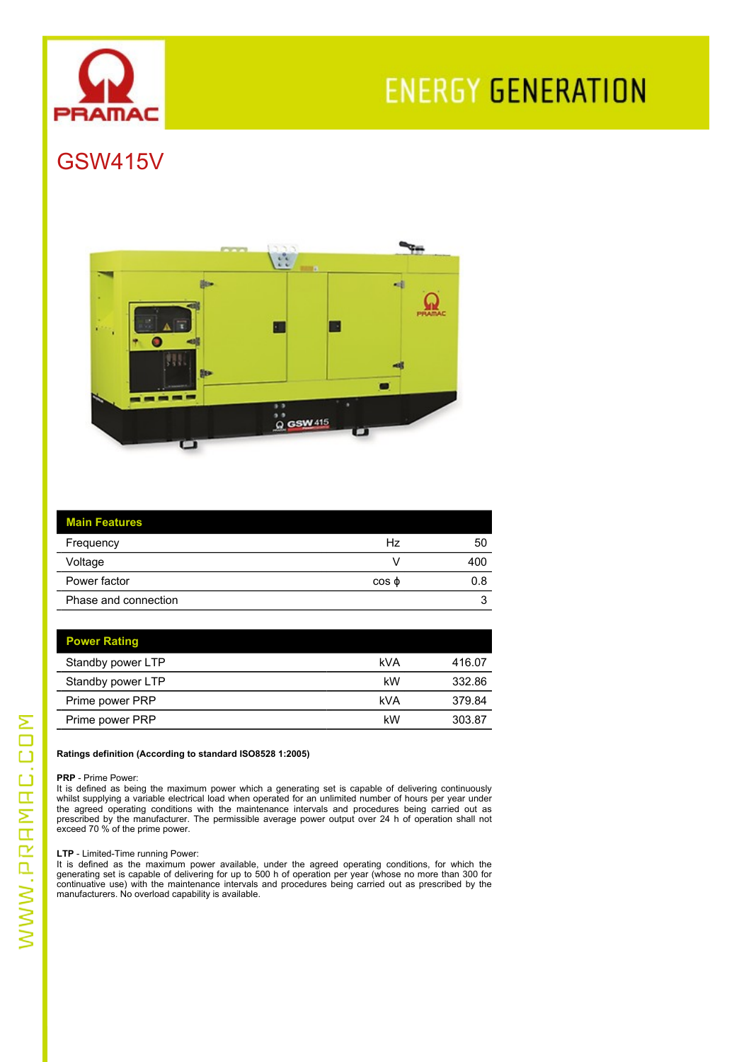

# **ENERGY GENERATION**

# GSW415V



| <b>Main Features</b> |             |     |
|----------------------|-------------|-----|
| Frequency            | Hz          | 50  |
| Voltage              |             | 400 |
| Power factor         | $\cos \phi$ | 0.8 |
| Phase and connection |             | u   |

| <b>Power Rating</b> |     |        |
|---------------------|-----|--------|
| Standby power LTP   | kVA | 416.07 |
| Standby power LTP   | kW  | 332.86 |
| Prime power PRP     | kVA | 379.84 |
| Prime power PRP     | kW  | 303.87 |

#### **Ratings definition (According to standard ISO8528 1:2005)**

**PRP** - Prime Power:

It is defined as being the maximum power which a generating set is capable of delivering continuously whilst supplying a variable electrical load when operated for an unlimited number of hours per year under the agreed operating conditions with the maintenance intervals and procedures being carried out as<br>prescribed by the manufacturer. The permissible average power output over 24 h of operation shall not exceed 70 % of the prime power.

**LTP** - Limited-Time running Power:

It is defined as the maximum power available, under the agreed operating conditions, for which the generating set is capable of delivering for up to 500 h of operation per year (whose no more than 300 for continuative use) with the maintenance intervals and procedures being carried out as prescribed by the manufacturers. No overload capability is available.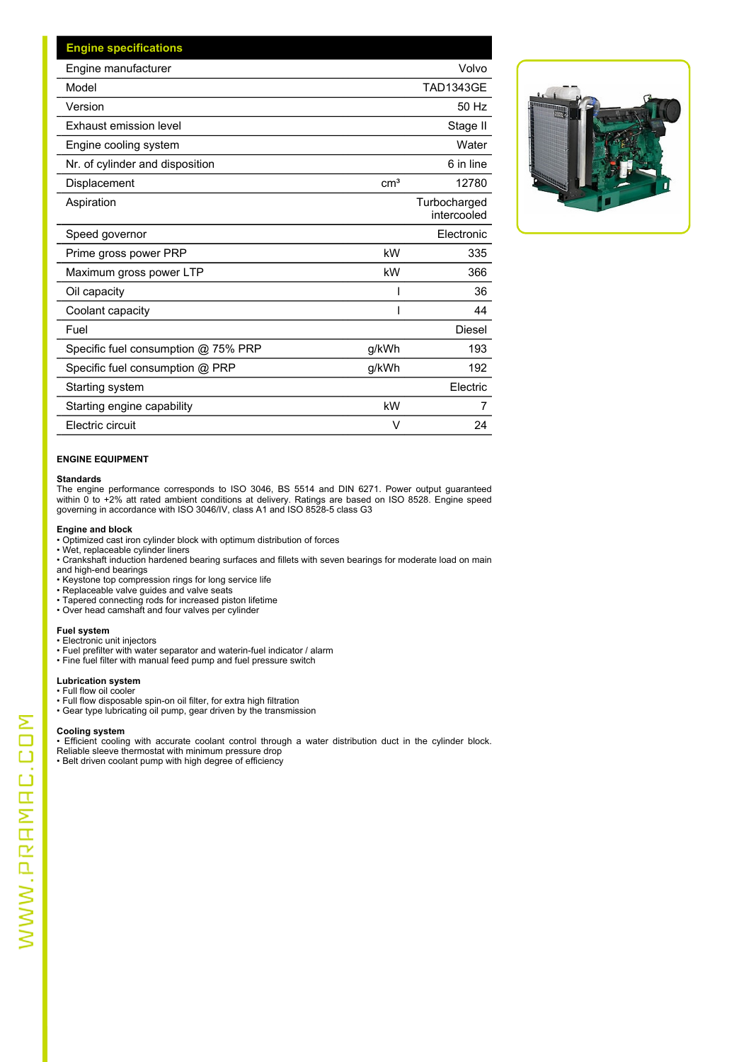| <b>Engine specifications</b>        |                 |                             |
|-------------------------------------|-----------------|-----------------------------|
| Engine manufacturer                 |                 | Volvo                       |
| Model                               |                 | <b>TAD1343GE</b>            |
| Version                             |                 | 50 Hz                       |
| Exhaust emission level              |                 | Stage II                    |
| Engine cooling system               |                 | Water                       |
| Nr. of cylinder and disposition     |                 | 6 in line                   |
| Displacement                        | cm <sup>3</sup> | 12780                       |
| Aspiration                          |                 | Turbocharged<br>intercooled |
| Speed governor                      |                 | Electronic                  |
| Prime gross power PRP               | kW              | 335                         |
| Maximum gross power LTP             | kW              | 366                         |
| Oil capacity                        |                 | 36                          |
| Coolant capacity                    |                 | 44                          |
| Fuel                                |                 | Diesel                      |
| Specific fuel consumption @ 75% PRP | g/kWh           | 193                         |
| Specific fuel consumption @ PRP     | g/kWh           | 192                         |
| Starting system                     |                 | Electric                    |
| Starting engine capability          | kW              | 7                           |
| Electric circuit                    | $\vee$          | 24                          |
|                                     |                 |                             |



#### **ENGINE EQUIPMENT**

**Standards** The engine performance corresponds to ISO 3046, BS 5514 and DIN 6271. Power output guaranteed within 0 to +2% att rated ambient conditions at delivery. Ratings are based on ISO 8528. Engine speed governing in accordance with ISO 3046/IV, class A1 and ISO 8528-5 class G3

- **Engine and block** Optimized cast iron cylinder block with optimum distribution of forces
- Wet, replaceable cylinder liners • Crankshaft induction hardened bearing surfaces and fillets with seven bearings for moderate load on main and high-end bearings
- Keystone top compression rings for long service life
- Replaceable valve guides and valve seats
- Tapered connecting rods for increased piston lifetime
- Over head camshaft and four valves per cylinder

#### **Fuel system**

- Electronic unit injectors
- Fuel prefilter with water separator and waterin-fuel indicator / alarm
- Fine fuel filter with manual feed pump and fuel pressure switch

#### **Lubrication system**

- Full flow oil cooler
- Full flow disposable spin-on oil filter, for extra high filtration
- Gear type lubricating oil pump, gear driven by the transmission

**Cooling system** • Efficient cooling with accurate coolant control through a water distribution duct in the cylinder block.

Reliable sleeve thermostat with minimum pressure drop • Belt driven coolant pump with high degree of efficiency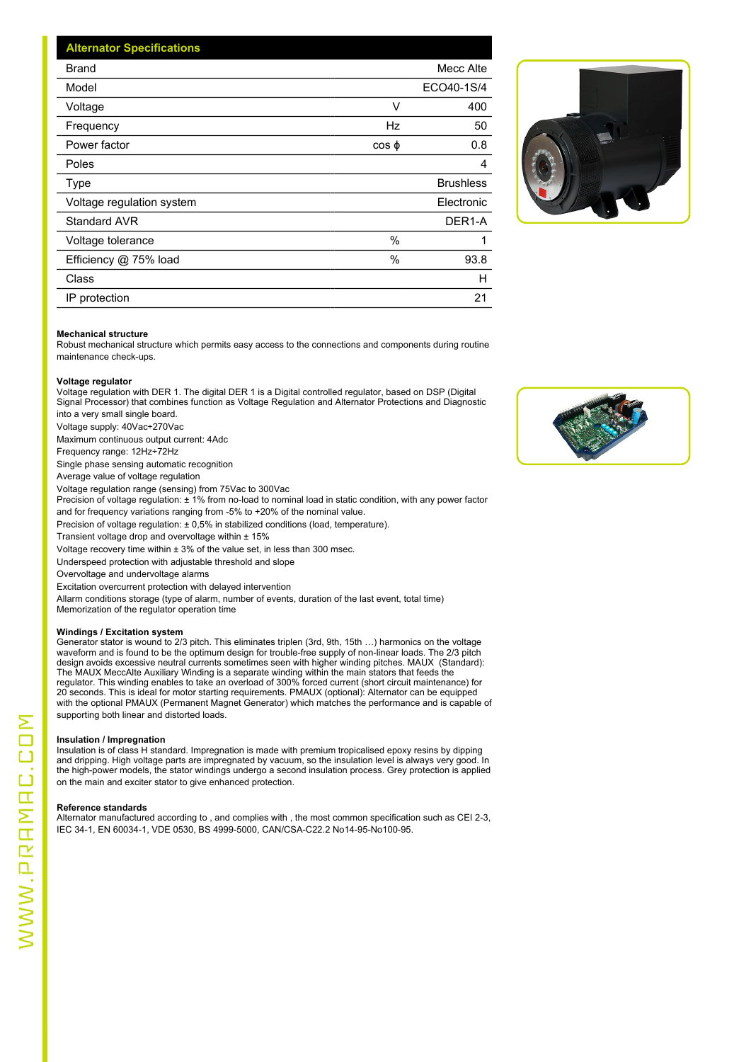| <b>Alternator Specifications</b> |             |                  |
|----------------------------------|-------------|------------------|
| <b>Brand</b>                     |             | Mecc Alte        |
| Model                            |             | ECO40-1S/4       |
| Voltage                          | ٧           | 400              |
| Frequency                        | Hz          | 50               |
| Power factor                     | $\cos \phi$ | 0.8              |
| Poles                            |             | 4                |
| Type                             |             | <b>Brushless</b> |
| Voltage regulation system        |             | Electronic       |
| Standard AVR                     |             | DER1-A           |
| Voltage tolerance                | %           |                  |
| Efficiency @ 75% load            | $\%$        | 93.8             |
| Class                            |             | H                |
| IP protection                    |             | 21               |



#### **Mechanical structure**

Robust mechanical structure which permits easy access to the connections and components during routine maintenance check-ups.

#### **Voltage regulator**

Voltage regulation with DER 1. The digital DER 1 is a Digital controlled regulator, based on DSP (Digital Signal Processor) that combines function as Voltage Regulation and Alternator Protections and Diagnostic into a very small single board.

Voltage supply: 40Vac÷270Vac

Maximum continuous output current: 4Adc

Frequency range: 12Hz÷72Hz

Single phase sensing automatic recognition

Average value of voltage regulation

Voltage regulation range (sensing) from 75Vac to 300Vac

Precision of voltage regulation:  $\pm$  1% from no-load to nominal load in static condition, with any power factor and for frequency variations ranging from -5% to +20% of the nominal value.

Precision of voltage regulation: ± 0,5% in stabilized conditions (load, temperature).

Transient voltage drop and overvoltage within  $± 15%$ 

Voltage recovery time within  $\pm 3$ % of the value set, in less than 300 msec.

Underspeed protection with adjustable threshold and slope

Overvoltage and undervoltage alarms

Excitation overcurrent protection with delayed intervention

Allarm conditions storage (type of alarm, number of events, duration of the last event, total time) Memorization of the regulator operation time

#### **Windings / Excitation system**

Generator stator is wound to 2/3 pitch. This eliminates triplen (3rd, 9th, 15th …) harmonics on the voltage waveform and is found to be the optimum design for trouble-free supply of non-linear loads. The 2/3 pitch design avoids excessive neutral currents sometimes seen with higher winding pitches. MAUX (Standard): The MAUX MeccAlte Auxiliary Winding is a separate winding within the main stators that feeds the regulator. This winding enables to take an overload of 300% forced current (short circuit maintenance) for 20 seconds. This is ideal for motor starting requirements. PMAUX (optional): Alternator can be equipped with the optional PMAUX (Permanent Magnet Generator) which matches the performance and is capable of supporting both linear and distorted loads.

#### **Insulation / Impregnation**

Insulation is of class H standard. Impregnation is made with premium tropicalised epoxy resins by dipping and dripping. High voltage parts are impregnated by vacuum, so the insulation level is always very good. In the high-power models, the stator windings undergo a second insulation process. Grey protection is applied on the main and exciter stator to give enhanced protection.

#### **Reference standards**

Alternator manufactured according to , and complies with , the most common specification such as CEI 2-3, IEC 34-1, EN 60034-1, VDE 0530, BS 4999-5000, CAN/CSA-C22.2 No14-95-No100-95.

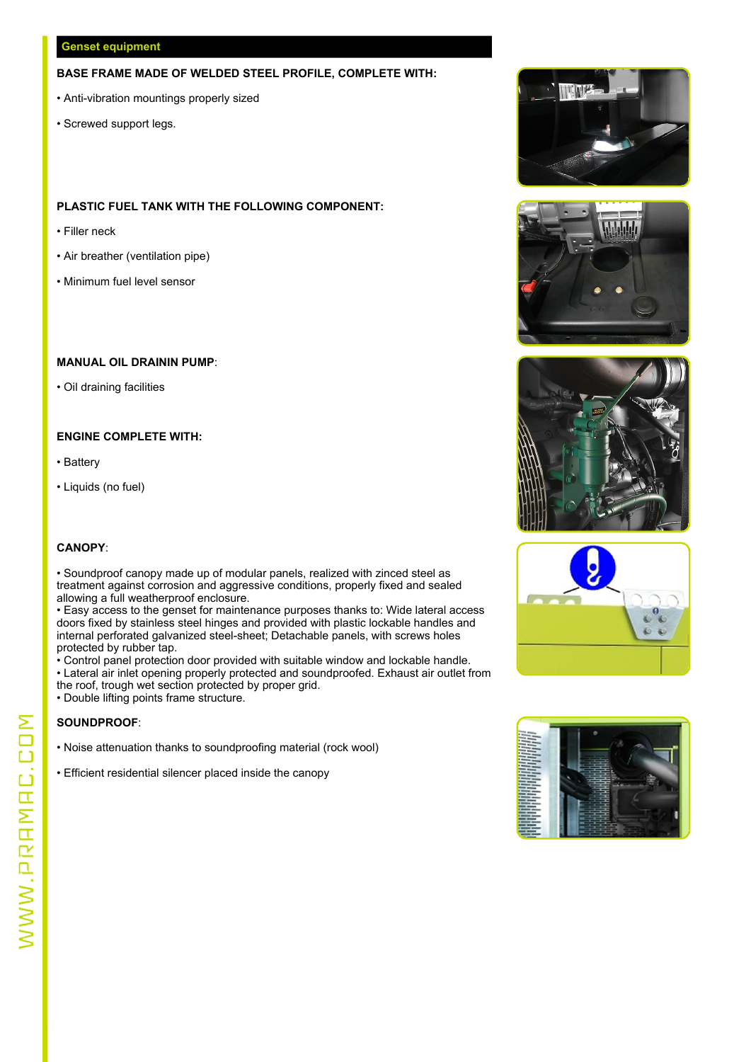#### **Genset equipment**

#### **BASE FRAME MADE OF WELDED STEEL PROFILE, COMPLETE WITH:**

- Anti-vibration mountings properly sized
- Screwed support legs.

#### **PLASTIC FUEL TANK WITH THE FOLLOWING COMPONENT:**

- Filler neck
- Air breather (ventilation pipe)
- Minimum fuel level sensor

#### **MANUAL OIL DRAININ PUMP**:

• Oil draining facilities

#### **ENGINE COMPLETE WITH:**

- 
- Battery<br>• Liquids (no fuel)

#### **CANOPY**:

• Soundproof canopy made up of modular panels, realized with zinced steel as treatment against corrosion and aggressive conditions, properly fixed and sealed allowing a full weatherproof enclosure.

• Easy access to the genset for maintenance purposes thanks to: Wide lateral access doors fixed by stainless steel hinges and provided with plastic lockable handles and internal perforated galvanized steel-sheet; Detachable panels, with screws holes protected by rubber tap.

• Control panel protection door provided with suitable window and lockable handle. • Lateral air inlet opening properly protected and soundproofed. Exhaust air outlet from

- the roof, trough wet section protected by proper grid.
- Double lifting points frame structure.

#### **SOUNDPROOF**:

- Noise attenuation thanks to soundproofing material (rock wool) Efficient residential silencer placed inside the canopy
- 









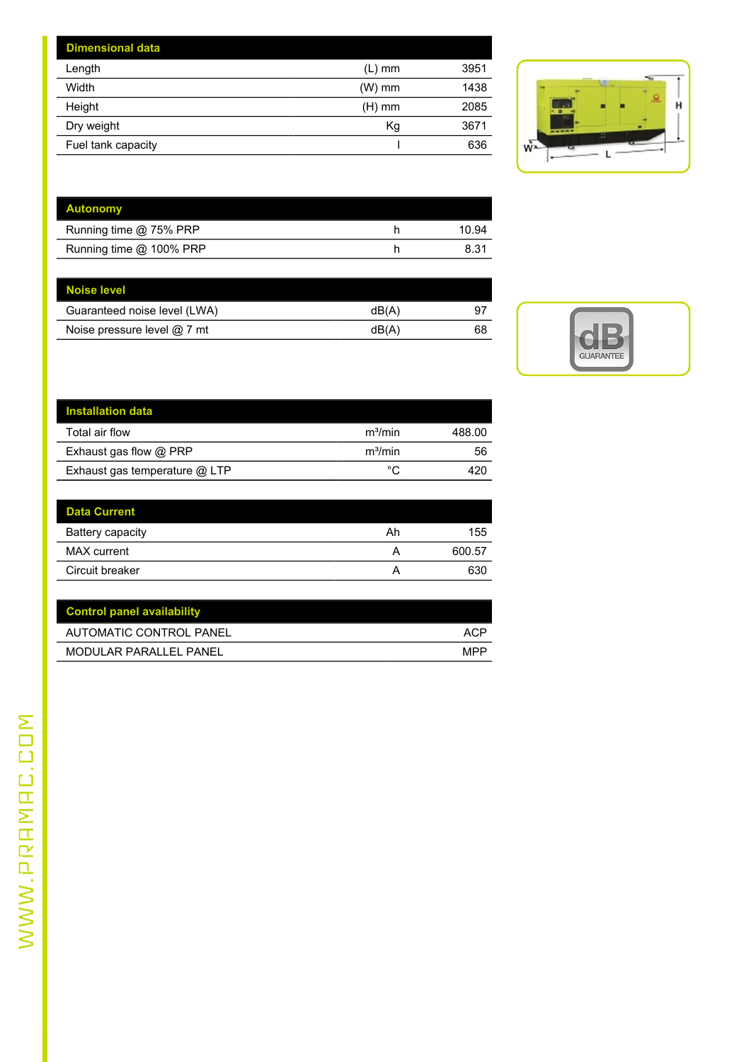| <b>Dimensional data</b> |          |      |                                  |
|-------------------------|----------|------|----------------------------------|
| Length                  | (L) mm   | 3951 |                                  |
| Width                   | $(W)$ mm | 1438 | w                                |
| Height                  | $(H)$ mm | 2085 | н<br>50                          |
| Dry weight              | Kg       | 3671 | <b><i><u>Instruction</u></i></b> |
| Fuel tank capacity      |          | 636  | W                                |
|                         |          |      |                                  |



| <b>Autonomy</b>         |       |
|-------------------------|-------|
| Running time @ 75% PRP  | 10.94 |
| Running time @ 100% PRP | 8.31  |

| Noise level                  |      |    |  |
|------------------------------|------|----|--|
| Guaranteed noise level (LWA) | dB(A | 97 |  |
| Noise pressure level @ 7 mt  | dB(A | 68 |  |
|                              |      |    |  |



| <b>Installation data</b>      |                     |        |
|-------------------------------|---------------------|--------|
| Total air flow                | m <sup>3</sup> /min | 488.00 |
| Exhaust gas flow @ PRP        | m <sup>3</sup> /min | 56     |
| Exhaust gas temperature @ LTP | °C                  | 420    |
|                               |                     |        |

| <b>Data Current</b> |    |        |
|---------------------|----|--------|
| Battery capacity    | Ah | 155    |
| MAX current         | Α  | 600.57 |
| Circuit breaker     |    | 630    |

| <b>Control panel availability</b> |            |
|-----------------------------------|------------|
| AUTOMATIC CONTROL PANEL           | <b>ACP</b> |
| MODULAR PARALLEL PANEL            | <b>MPP</b> |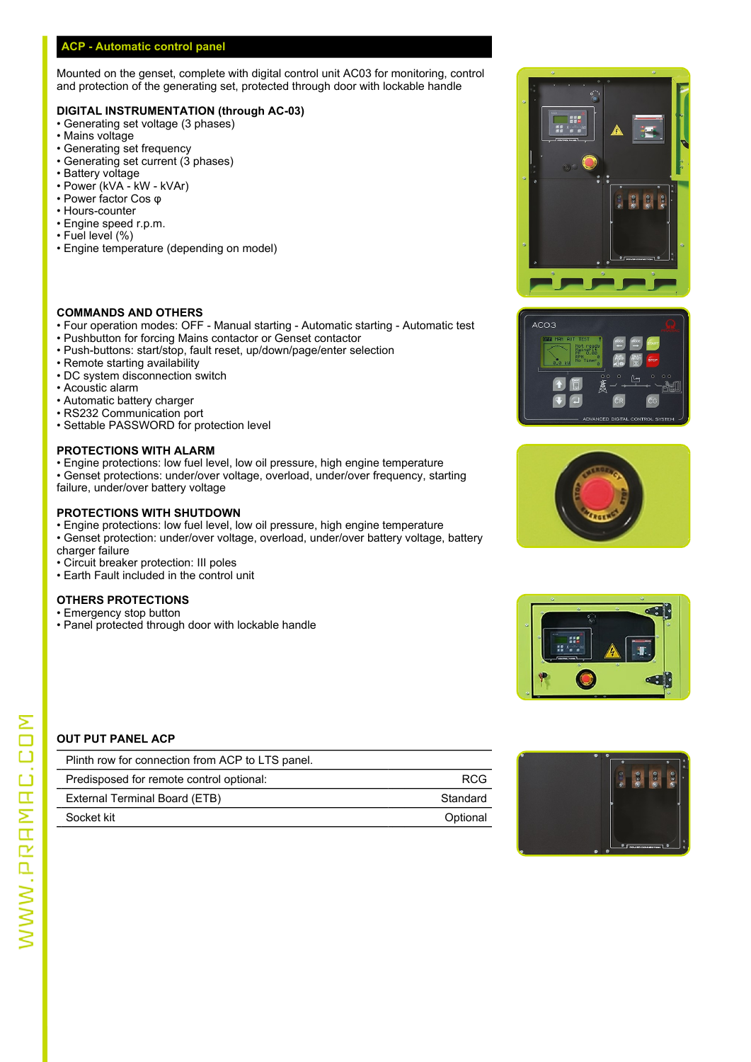#### **ACP - Automatic control panel**

Mounted on the genset, complete with digital control unit AC03 for monitoring, control and protection of the generating set, protected through door with lockable handle

#### **DIGITAL INSTRUMENTATION (through AC-03)**

- Generating set voltage (3 phases)
- Mains voltage
- Generating set frequency
- Generating set current (3 phases)
- Battery voltage
- Power (kVA kW kVAr) • Power factor Cos φ
- Hours-counter
- Engine speed r.p.m.
- Fuel level (%)
- Engine temperature (depending on model)

#### **COMMANDS AND OTHERS**

- Four operation modes: OFF Manual starting Automatic starting Automatic test **Fig. 1** Acos
- Pushbutton for forcing Mains contactor or Genset contactor
- Push-buttons: start/stop, fault reset, up/down/page/enter selection
- Remote starting availability
- DC system disconnection switch
- Acoustic alarm
- Automatic battery charger
- RS232 Communication port
- Settable PASSWORD for protection level

#### **PROTECTIONS WITH ALARM**

- Engine protections: low fuel level, low oil pressure, high engine temperature
- Genset protections: under/over voltage, overload, under/over frequency, starting failure, under/over battery voltage
- 

#### **PROTECTIONS WITH SHUTDOWN**

- Engine protections: low fuel level, low oil pressure, high engine temperature
- Genset protection: under/over voltage, overload, under/over battery voltage, battery charger failure
- Circuit breaker protection: III poles
- Earth Fault included in the control unit

#### **OTHERS PROTECTIONS**

- Emergency stop button
- Panel protected through door with lockable handle









#### **OUT PUT PANEL ACP**

| Plinth row for connection from ACP to LTS panel. |            |  |
|--------------------------------------------------|------------|--|
| Predisposed for remote control optional:         | <b>RCG</b> |  |
| External Terminal Board (ETB)                    | Standard   |  |
| Socket kit                                       | Optional   |  |

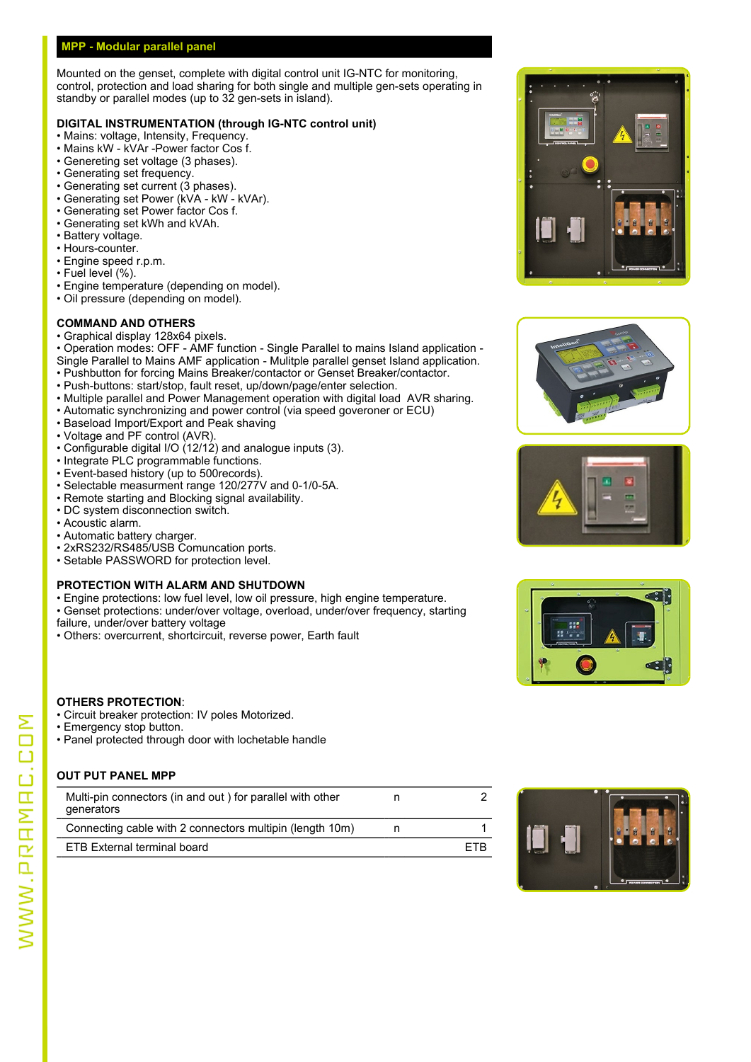#### **MPP - Modular parallel panel**

Mounted on the genset, complete with digital control unit IG-NTC for monitoring, control, protection and load sharing for both single and multiple gen-sets operating in standby or parallel modes (up to 32 gen-sets in island).

#### **DIGITAL INSTRUMENTATION (through IG-NTC control unit)**

- Mains: voltage, Intensity, Frequency.
- Mains kW kVAr -Power factor Cos f.
- Genereting set voltage (3 phases).
- Generating set frequency.
- Generating set current (3 phases).
- Generating set Power (kVA kW kVAr).
- Generating set Power factor Cos f. • Generating set kWh and kVAh.
- 
- Battery voltage. • Hours-counter.
- Engine speed r.p.m.
- Fuel level (%).
- 
- Engine temperature (depending on model).
- Oil pressure (depending on model).

#### **COMMAND AND OTHERS**

- Graphical display 128x64 pixels.
- Operation modes: OFF AMF function Single Parallel to mains Island application Single Parallel to Mains AMF application - Mulitple parallel genset Island application.
- Pushbutton for forcing Mains Breaker/contactor or Genset Breaker/contactor.
- Push-buttons: start/stop, fault reset, up/down/page/enter selection.
- Multiple parallel and Power Management operation with digital load AVR sharing.
- Automatic synchronizing and power control (via speed goveroner or ECU)
- Baseload Import/Export and Peak shaving
- Voltage and PF control (AVR).
- Configurable digital I/O (12/12) and analogue inputs (3).
- Integrate PLC programmable functions.
- Event-based history (up to 500records).
- Selectable measurment range 120/277V and 0-1/0-5A.
- Remote starting and Blocking signal availability.
- DC system disconnection switch.
- Acoustic alarm.
- Automatic battery charger.
- 2xRS232/RS485/USB Comuncation ports.
- Setable PASSWORD for protection level.

#### **PROTECTION WITH ALARM AND SHUTDOWN**

- Engine protections: low fuel level, low oil pressure, high engine temperature.
- Genset protections: under/over voltage, overload, under/over frequency, starting
- failure, under/over battery voltage
- Others: overcurrent, shortcircuit, reverse power, Earth fault



- Circuit breaker protection: IV poles Motorized.
- Emergency stop button.
- Panel protected through door with lochetable handle

#### **OUT PUT PANEL MPP**

| Multi-pin connectors (in and out) for parallel with other<br>denerators |     |  |
|-------------------------------------------------------------------------|-----|--|
| Connecting cable with 2 connectors multiplin (length 10m)               |     |  |
| ETB External terminal board                                             | ETB |  |









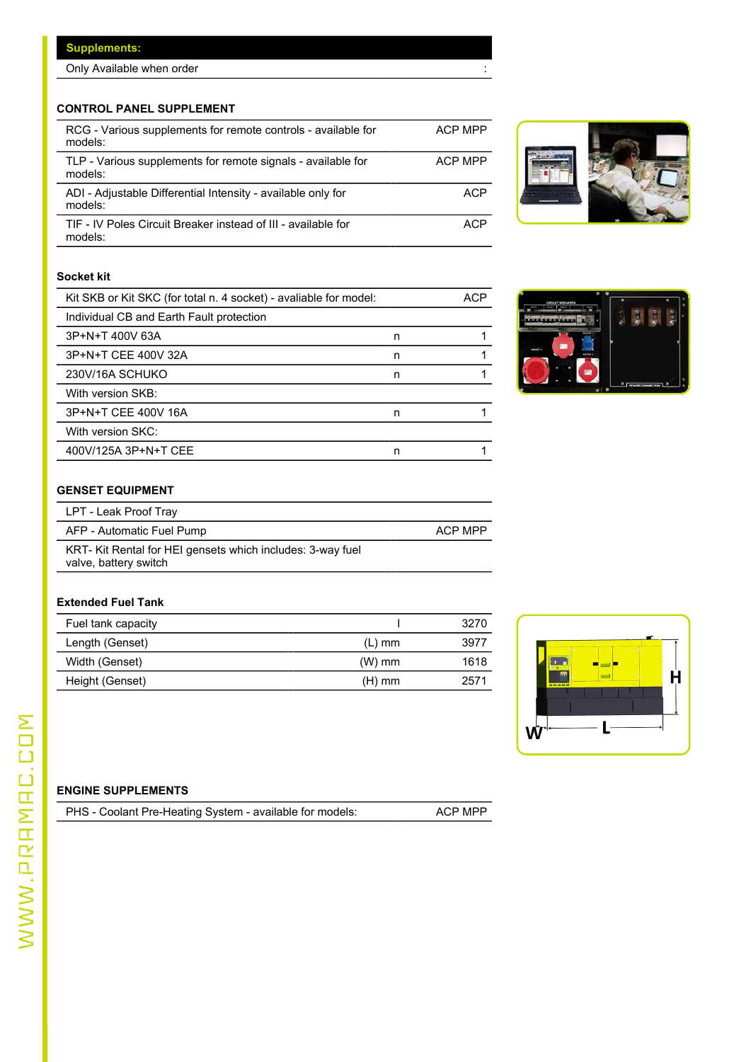#### **Supplements:**

Only Available when order :

### **CONTROL PANEL SUPPLEMENT**

| RCG - Various supplements for remote controls - available for<br>models: | ACP MPP |
|--------------------------------------------------------------------------|---------|
| TLP - Various supplements for remote signals - available for<br>models:  | ACP MPP |
| ADI - Adjustable Differential Intensity - available only for<br>models:  | ACP     |
| TIF - IV Poles Circuit Breaker instead of III - available for<br>models: | ACP     |





## **Socket kit**

| Kit SKB or Kit SKC (for total n. 4 socket) - avaliable for model: |   | <b>ACP</b> | $\circ$ $\circ$<br><b>CIDCUIT ODEAVED</b> |
|-------------------------------------------------------------------|---|------------|-------------------------------------------|
| Individual CB and Earth Fault protection                          |   |            |                                           |
| 3P+N+T 400V 63A                                                   | n |            |                                           |
| 3P+N+T CEE 400V 32A                                               | n |            | <b>SOCKET 9</b>                           |
| 230V/16A SCHUKO                                                   | n |            |                                           |
| With version SKB:                                                 |   |            | P POWER CONNECTION<br>$\circ$ $\circ$     |
| 3P+N+T CEE 400V 16A                                               | n |            |                                           |
| With version SKC:                                                 |   |            |                                           |
| 400V/125A 3P+N+T CEE                                              | n |            |                                           |

### **GENSET EQUIPMENT**

| LPT - Leak Proof Tray                                                               |         |
|-------------------------------------------------------------------------------------|---------|
| AFP - Automatic Fuel Pump                                                           | ACP MPP |
| KRT- Kit Rental for HEI gensets which includes: 3-way fuel<br>valve, battery switch |         |

#### **Extended Fuel Tank**

| Fuel tank capacity |          | 3270 |                              |
|--------------------|----------|------|------------------------------|
| Length (Genset)    | (L) mm   | 3977 |                              |
| Width (Genset)     | $(W)$ mm | 1618 |                              |
| Height (Genset)    | (H) mm   | 2571 | $q_{\rm IR}$<br><b>BARRA</b> |



### **ENGINE SUPPLEMENTS**

| PHS - Coolant Pre-Heating System - available for models: | ACP MPP |
|----------------------------------------------------------|---------|
|----------------------------------------------------------|---------|